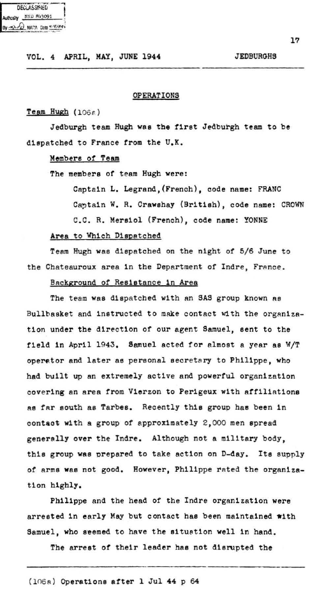| <b>DECLASSIFIED</b>         |
|-----------------------------|
| Authority MND 843091        |
| By -x). O NATA Data 4/5/89; |

### OPERATIONS

# $Team Hugh (1066)$

Jedburgh team Hugh was the first Jedburgh team to be dispatched to France from the U.K.

# Members of Team

The members *ot* team Hugh were:

Captain L. Legrand, (French), code name: FRANC Captain W. R. Crawshay (British), code name: CROWN C.C. R. Mereiol (French), code name: YONNE

## Area to Which Dispatched

Teem Hugh wss dlspatched on the night *ot* 5/6 June to the Chateauroux area in the Department of Indre. France.

# Background *ot* Resiatance 1n Area

The team was dispatched with an SAS group known as Bullbasket and instructed to make contact with the organization under the direction *ot* our agent Samuel, sent to the field in April 1943. Samuel acted for almost a year as W/T operator and later as personal secretary to Philippe, who had built up an extremely active and powerful organization covering an area from Vierzon to Perigeux with affiliations Ae fAr south ae Tarbes. Recently this group has been in contaot with a group of approximately 2, 000 men spread generally over the Indre. Although not a military body, this group was prepared to take action on D-day. Its supply of arms was not good. However, Philippe rated the organization highly.

Philippe and the head of the Indre organization were arrested in early May but contact has been maintained with Samuel, who seemed to have the situation well in hand.

The arrest of their leader has not disrupted the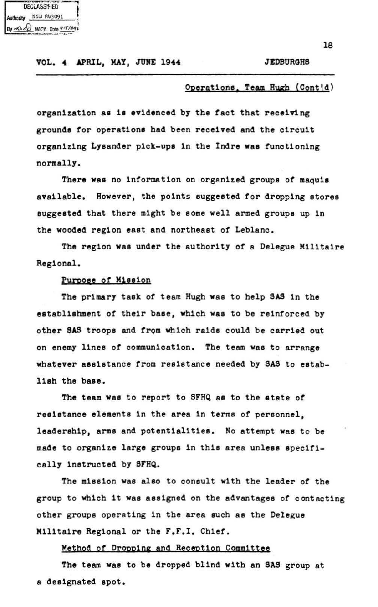DECLASSMIED NND 843091 NATA Data 9/5/89

#### **JEDRURGHS**

### Operations Team Hugh (Cont'd)

organization as is evidenced by the fact that receiving grounds for operations had been received and the circuit organizing Lysander pick-ups in the Indre was functioning normally

There was no information on organized groups of maguis available. However, the points suggested for dropping stores suggested that there might be some well armed groups up in the wooded region east and northeast of Leblanc.

The region was under the authority of a Delegue Militaire Regional.

### Purpose of Mission

The primary task of team Hugh was to help SAS in the establishment of their base, which was to be reinforced by other SAS troops and from which raids could be carried out on enemy lines of communication. The team was to arrange whatever assistance from resistance needed by SAS to establish the base.

The team was to report to SFHQ as to the state of resistance elements in the area in terms of personnel. leadership, arms and potentialities. No attempt was to be made to organize large groups in this area unless specifically instructed by SFHQ.

The mission was also to consult with the leader of the group to which it was assigned on the advantages of contacting other groups operating in the area such as the Delegue Militaire Regional or the F.F.I. Chief.

## Method of Dropping and Reception Committee

The team was to be dropped blind with an SAS group at a designated spot.

 $1A$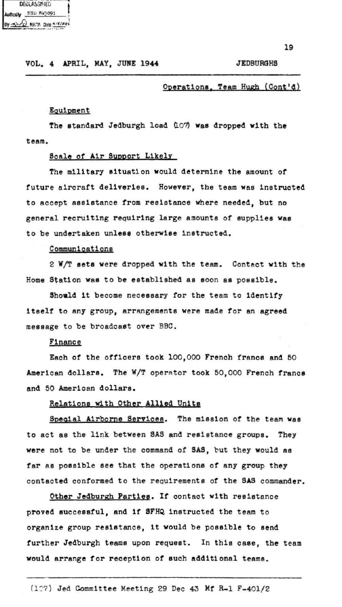| <b>DECLASSMIED</b><br>Į |                            |  |  |
|-------------------------|----------------------------|--|--|
|                         | Authority _NND R43091      |  |  |
|                         | By 3) or NATA Data 4/5/89; |  |  |

#### **JEDBURGHS**

# Operations, Team Hugh (Cont'd)

### Equipment

The standard Jedburgh load (107) was dropped with the team.

### Scale of Air Support Likely

The military situation would determine the amount of future aircraft deliveries. However, the team was instructed to accept assistance from resistance where needed, but no general recruiting requiring large amounts of supplies was to be undertaken unless otherwise instructed.

## Communications

2 W/T sets were dropped with the team. Contact with the Home Station was to be established as soon as possible.

Should it become necessary for the team to identify itself to any group, arrangements were made for an agreed message to be broadcast over BBC.

### **Finance**

Each of the officers took 100,000 French francs and 50 American dollars. The W/T operator took 50,000 French francs and 50 American dollars.

## Relations with Other Allied Units

Special Airborne Services. The mission of the team was to act as the link between SAS and resistance groups. They were not to be under the command of SAS, but they would as far as possible see that the operations of any group they contacted conformed to the requirements of the SAS commander.

Other Jedburgh Parties. If contact with resistance proved successful, and if SFHQ instructed the team to organize group resistance. it would be possible to send further Jedburgh teams upon request. In this case, the team would arrange for reception of such additional teams.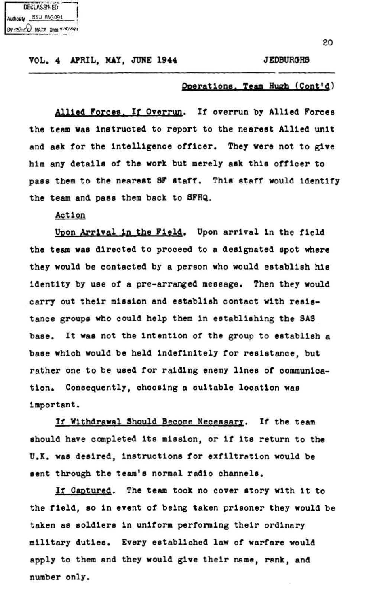| DECLASSIFIED |                            |  |  |
|--------------|----------------------------|--|--|
|              |                            |  |  |
|              | By 3) of MATA Data 415/891 |  |  |

#### **JEDBURGHS**

### Operations, Team Hugh (Cont'd)

Allied Forces. If Overrun. If overrun by Allied Forces the team was instructed to report to the nearest Allied unit and ask for the intelligence officer. They were not to give him any details of the work but merely ask this officer to pass them to the nearest SF staff. This staff would identify the team and pass them back to SFHQ.

Action

Upon Arrival in the Field. Upon arrival in the field the team was directed to proceed to a designated spot where they would be contacted by a person who would establish his identity by use of a pre-arranged message. Then they would carry out their mission and establish contact with resistance groups who could help them in establishing the SAS base. It was not the intention of the group to establish a base which would be held indefinitely for resistance, but rather one to be used for raiding enemy lines of communication. Consequently, choosing a suitable location was important.

If Withdrawal Should Become Necessary. If the team should have completed its mission, or if its return to the U.K. was desired, instructions for exfiltration would be sent through the team's normal radio channels.

If Captured. The team took no cover story with it to the field, so in event of being taken prisoner they would be taken as soldiers in uniform performing their ordinary military duties. Every established law of warfare would apply to them and they would give their name, rank, and number only.

20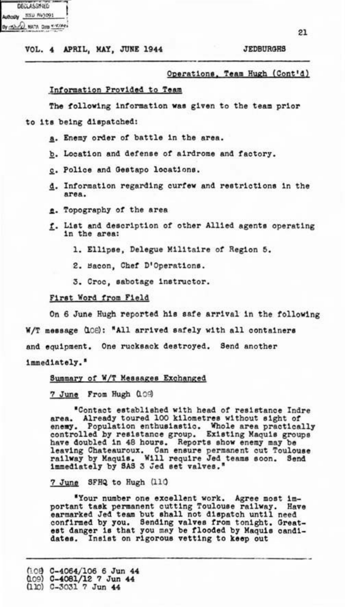| <b>DECLASSMIED</b>         |  |
|----------------------------|--|
| Authority NISD Riv3091     |  |
| By - A) - CO NATA DIM Y'EA |  |

**JEDRURGHS** 

# Operations, Team Hugh (Cont'd)

#### Information Provided to Team

The following information was given to the team prior

- to its being dispatched:
	- a. Enemy order of battle in the area.
	- b. Location and defense of airdrome and factory.
	- c. Police and Gestapo locations.
	- d. Information regarding curfew and restrictions in the area.
	- e. Topography of the area
	- f. List and description of other Allied agents operating in the area:
		- 1. Ellipse. Delegue Militaire of Region 5.
		- 2. Bacon. Chef D'Operations.
		- 3. Croc, sabotage instructor.

## First Word from Field

On 6 June Hugh reported his safe arrival in the following

W/T message (LOB): "All arrived safely with all containers

and equipment. One rucksack destroyed. Send another

### immediately."

### Summary of W/T Messages Exchanged

7 June From Hugh (109)

"Contact established with head of resistance Indre Already toured 100 kilometres without sight of area. enemy. Population enthusiastic. Whole area practically controlled by resistance group. Existing Maquis groups converted in 48 hours. Reports show energy may be<br>have doubled in 48 hours. Reports show energy may be<br>railway by Maquis. Will require Jed teams soon. Send<br>immediately by SAS 3 Jed set valves."

7 June SFHQ to Hugh (110

"Your number one excellent work. Agree most important task permanent cutting Toulouse railway. Have earmarked Jed team but shall not dispatch until need Have confirmed by you. Sending valves from tonight. Great-<br>est danger is that you may be flooded by Maquis candi-Insist on rigorous vetting to keep out dates.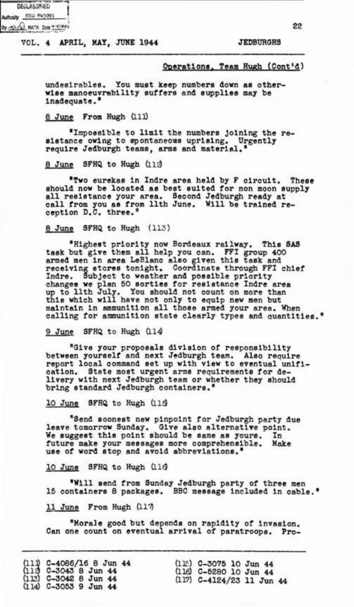| <b>DECLASSMIED</b> |                                |  |
|--------------------|--------------------------------|--|
|                    | Authority MNU P43091           |  |
|                    | By my of all NATA Data without |  |

**JEDBURGES** 

99

## Operations, Team Hugh (Cont'd)

undesirables. You must keep numbers down as otherwise manoeuvrability suffers and supplies may be inadequate."

## 8 June From Hugh (111)

"Impossible to limit the numbers joining the resistance owing to spontaneous uprising. Urgently require Jedburgh teams, arms and material.'

#### 8 June SFHQ to Hugh (112)

"Two eurekas in Indre area held by F circuit. These should now be located as best suited for non moon supply all resistance your area. Second Jedburgh ready at call from you as from llth June. Will be trained re-

#### 8 June SFHQ to Hugh (113)

"Highest priority now Bordeaux railway. This SAS<br>task but give them all help you can. FFI group 400<br>armed men in area LeBlanc also given this task and<br>receiving stores tonight. Coordinate through FFI chief<br>Indre. Subject t calling for ammunition state clearly types and quantities."

### 9 June SFHQ to Hugh (114)

"Give your proposals division of responsibility between yourself and next Jedburgh team. Also require report local command set up with view to eventual unification. State most urgent arms requirements for delivery with next Jedburgh team or whether they should bring standard Jedburgh containers."

#### 10 June SFHQ to Hugh (115)

"Send sconest new pinpoint for Jedburgh party due leave tomorrow Sunday. Give also alternative point.<br>We suggest this point should be same as yours. In future make your messages more comprehensible. Make use of word stop and avoid abbreviations."

#### 10 June SFHQ to Hugh (116)

"Will send from Sunday Jedburgh party of three men 15 containers 8 packages. BBC message included in cable."

### 11 June From Hugh (117)

"Morale good but depends on rapidity of invasion. Can one count on eventual arrival of paratroops. Pro-

| $(11)$ C-4086/16 8 Jun 44<br>(113 C-3043 8 Jun 44 | $(115)$ C-3075 10 Jun 44    |
|---------------------------------------------------|-----------------------------|
| $(113)$ C-3042 8 Jun 44                           | (116) C-5280 10 Jun 44      |
| $(114)$ C-3053 9 Jun 44                           | $(117)$ C-4124/23 11 Jun 44 |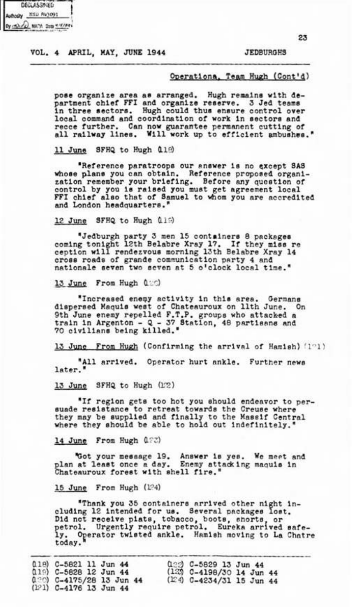| uthodly Hitl |                          |
|--------------|--------------------------|
|              | By - 53.00 NATA Data #16 |

#### **JEDBURGHS**

#### Operationa, Team Hugh (Cont'd)

pose organize area as arranged. Hugh remains with department chief FFI and organize reserve. 3 Jed teams in three sectors. Hugh could thus ensure control over local local conduction of work in sectors and recce further. Can now guarantee permanent cutting of all railway lines. Will work up to efficient ambushes."

11 June SFHQ to Hugh 019

"Reference paratroops our answer is no except SAS whose plans you can obtain. Reference proposed organiwhose pass you can obtain. Assertence proposed organi-<br>zation remember your briefing. Before any question of<br>control by you is raised you must get agreement local<br>FFI chief also that of Samuel to whom you are accredited and London headquarters."

12 June SFHQ to Hugh 019

"Jedburgh party 3 men 15 containers 8 packages coming tonight 12th Belabre Xray 17. If they miss re ception will rendezvous morning 13th Belabre Xray 14 cross roads of grande communication party 4 and nationale seven two seven at 5 o'clock local time."

13 June From Hugh (120)

"Increased enemy activity in this area. Germans<br>dispersed Maquis west of Chateauroux on lith June. On<br>9th June enemy repelled F.T.P. groups who attacked a<br>train in Argenton - Q - 37 Station, 48 partisens and<br>70 civilians b

13 June From Hugh (Confirming the arrival of Hamish) (191)

"All arrived. Operator hurt ankle. Further news later."

13 June SFHQ to Hugh (172)

"If region gets too hot you should endeavor to persuade resistance to retreat towards the Creuse where they may be supplied and finally to the Massif Central<br>where they should be able to hold out indefinitely."

14 June From Hugh 022)

"Got your message 19. Answer is yes. We meet and<br>plan at least once a day. Enemy attacking maquis in<br>Chateauroux forest with shell fire."

15 June From Hugh (124)

"Thank you 35 containers arrived other night in-<br>cluding 12 intended for us. Several packages lost. Did not receive piats, tobacco, boots, shorts, or<br>petrol. Urgently require petrol. Eureka arrived safely. Operator twisted ankle. Hamish moving to La Chatre<br>today.

| 018) C-5821 11 Jun 44<br>$(119)$ C-5828 12 Jun 44       |  | $0.22$ C-5829 13 Jun 44<br>$(123)$ C-4198/30 14 Jun 44 |  |
|---------------------------------------------------------|--|--------------------------------------------------------|--|
| $(120)$ C-4175/28 13 Jun 44<br>$(D21)$ C-4176 13 Jun 44 |  | $(124)$ C-4234/31 15 Jun 44                            |  |

23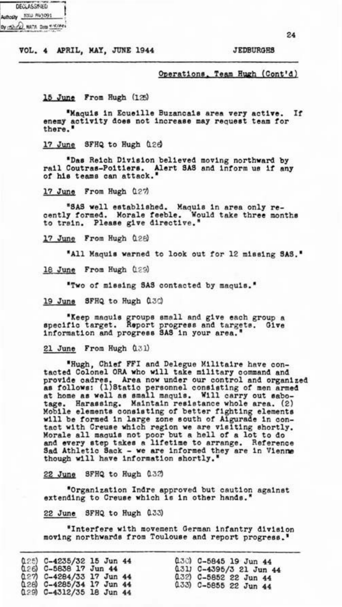| <b>DECLASSMIED</b>             |  |
|--------------------------------|--|
| Authority NSD R43091           |  |
| By - Ah - C) NATA Data 4/6/84+ |  |

**JEDBURGES** 

Operations, Team Hugh (Cont'd)

15 June From Hugh (125)

"Maguis in Equeille Buzancais area very active.  $If$ enemy activity does not increase may request team for

17 June SFHQ to Hugh 028

"Das Reich Division believed moving northward by rail Coutras-Poitiers. Alert SAS and inform us if any<br>of his teams can attack."

17 June From Hugh 027

"SAS well established. Maquis in area only re-<br>cently formed. Morale feeble. Would take three months to train. Please give directive.

17 June From Hugh (128)

"All Maguis warned to look out for 12 missing SAS."

18 June From Hugh (129)

"Two of missing SAS contacted by maguis."

19 June SFHQ to Hugh 0.30

"Keep maquis groups small and give each group a specific target. Report progress and targets. Give information and progress SAS in your area.

21 June From Hugh (131)

"Hugh, Chief FFI and Delegue Militaire have contacted Colonel ORA who will take military command and ences of the new mine wind a control and organized<br>as follows: (1)Statio personnel consisting of men armed<br>at home as well as small maguis. Will carry out sabon<br>tage. Harassing. Maintain resistance whole area. (2) Mobile elements consisting of better fighting elements<br>will be formed in large zone south of Algurade in contact with Creuse which region we are visiting shortly. Morale all maguis not poor but a hell of a lot to do and every step takes a lifetime to arrange. Reference Sad Athletic Sack - we are informed they are in Vienne though will have information shortly."

22 June SFHQ to Hugh 032

"Organization Indre approved but caution against extending to Creuse which is in other hands.

22 June SFHQ to Hugh 0.33)

"Interfere with movement German infantry division moving northwards from Toulouse and report progress.

|                                                       |  | $(130)$ C-5845 19 Jun 44 |
|-------------------------------------------------------|--|--------------------------|
| $(125)$ C-4235/32 15 Jun 44<br>(126) C-5838 17 Jun 44 |  | 0.31) C-4395/3 21 Jun 44 |
| 027) C-4284/33 17 Jun 44                              |  | $(132)$ C-5852 22 Jun 44 |
| 0.28) C-4285/34 17 Jun 44                             |  | 0.33) C-5855 22 Jun 44   |
| $(129)$ $C-4312/35$ 18 Jun 44                         |  |                          |

 $\sigma_A$